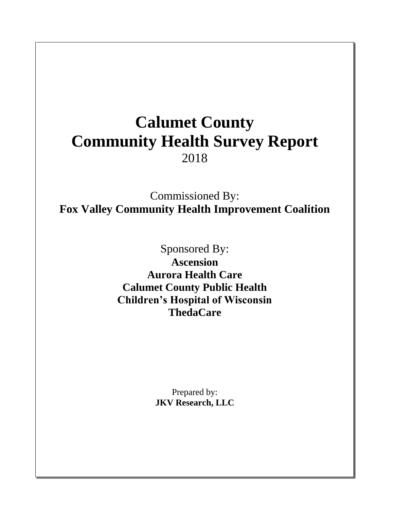# **Calumet County Community Health Survey Report** 2018

Commissioned By: **Fox Valley Community Health Improvement Coalition**

> Sponsored By: **Ascension Aurora Health Care Calumet County Public Health Children's Hospital of Wisconsin ThedaCare**

> > Prepared by: **JKV Research, LLC**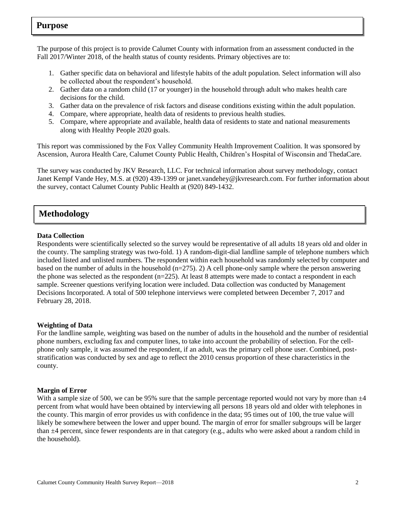## **Purpose**

The purpose of this project is to provide Calumet County with information from an assessment conducted in the Fall 2017/Winter 2018, of the health status of county residents. Primary objectives are to:

- 1. Gather specific data on behavioral and lifestyle habits of the adult population. Select information will also be collected about the respondent's household.
- 2. Gather data on a random child (17 or younger) in the household through adult who makes health care decisions for the child.
- 3. Gather data on the prevalence of risk factors and disease conditions existing within the adult population.
- 4. Compare, where appropriate, health data of residents to previous health studies.
- 5. Compare, where appropriate and available, health data of residents to state and national measurements along with Healthy People 2020 goals.

This report was commissioned by the Fox Valley Community Health Improvement Coalition. It was sponsored by Ascension, Aurora Health Care, Calumet County Public Health, Children's Hospital of Wisconsin and ThedaCare.

The survey was conducted by JKV Research, LLC. For technical information about survey methodology, contact Janet Kempf Vande Hey, M.S. at (920) 439-1399 or janet.vandehey@jkvresearch.com. For further information about the survey, contact Calumet County Public Health at (920) 849-1432.

# **Methodology**

#### **Data Collection**

Respondents were scientifically selected so the survey would be representative of all adults 18 years old and older in the county. The sampling strategy was two-fold. 1) A random-digit-dial landline sample of telephone numbers which included listed and unlisted numbers. The respondent within each household was randomly selected by computer and based on the number of adults in the household  $(n=275)$ . 2) A cell phone-only sample where the person answering the phone was selected as the respondent (n=225). At least 8 attempts were made to contact a respondent in each sample. Screener questions verifying location were included. Data collection was conducted by Management Decisions Incorporated. A total of 500 telephone interviews were completed between December 7, 2017 and February 28, 2018.

#### **Weighting of Data**

For the landline sample, weighting was based on the number of adults in the household and the number of residential phone numbers, excluding fax and computer lines, to take into account the probability of selection. For the cellphone only sample, it was assumed the respondent, if an adult, was the primary cell phone user. Combined, poststratification was conducted by sex and age to reflect the 2010 census proportion of these characteristics in the county.

#### **Margin of Error**

With a sample size of 500, we can be 95% sure that the sample percentage reported would not vary by more than  $\pm 4$ percent from what would have been obtained by interviewing all persons 18 years old and older with telephones in the county. This margin of error provides us with confidence in the data; 95 times out of 100, the true value will likely be somewhere between the lower and upper bound. The margin of error for smaller subgroups will be larger than ±4 percent, since fewer respondents are in that category (e.g., adults who were asked about a random child in the household).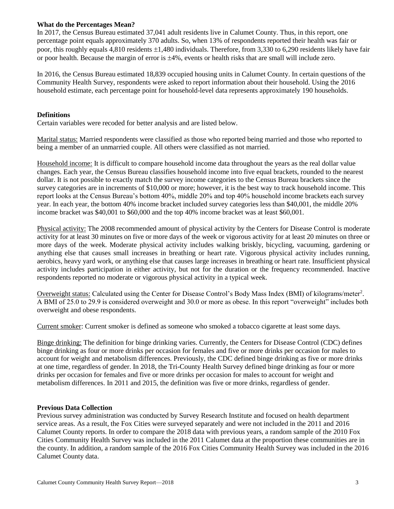#### **What do the Percentages Mean?**

In 2017, the Census Bureau estimated 37,041 adult residents live in Calumet County. Thus, in this report, one percentage point equals approximately 370 adults. So, when 13% of respondents reported their health was fair or poor, this roughly equals 4,810 residents 1,480 individuals. Therefore, from 3,330 to 6,290 residents likely have fair or poor health. Because the margin of error is  $\pm 4\%$ , events or health risks that are small will include zero.

In 2016, the Census Bureau estimated 18,839 occupied housing units in Calumet County. In certain questions of the Community Health Survey, respondents were asked to report information about their household. Using the 2016 household estimate, each percentage point for household-level data represents approximately 190 households.

#### **Definitions**

Certain variables were recoded for better analysis and are listed below.

Marital status: Married respondents were classified as those who reported being married and those who reported to being a member of an unmarried couple. All others were classified as not married.

Household income: It is difficult to compare household income data throughout the years as the real dollar value changes. Each year, the Census Bureau classifies household income into five equal brackets, rounded to the nearest dollar. It is not possible to exactly match the survey income categories to the Census Bureau brackets since the survey categories are in increments of \$10,000 or more; however, it is the best way to track household income. This report looks at the Census Bureau's bottom 40%, middle 20% and top 40% household income brackets each survey year. In each year, the bottom 40% income bracket included survey categories less than \$40,001, the middle 20% income bracket was \$40,001 to \$60,000 and the top 40% income bracket was at least \$60,001.

Physical activity: The 2008 recommended amount of physical activity by the Centers for Disease Control is moderate activity for at least 30 minutes on five or more days of the week or vigorous activity for at least 20 minutes on three or more days of the week. Moderate physical activity includes walking briskly, bicycling, vacuuming, gardening or anything else that causes small increases in breathing or heart rate. Vigorous physical activity includes running, aerobics, heavy yard work, or anything else that causes large increases in breathing or heart rate. Insufficient physical activity includes participation in either activity, but not for the duration or the frequency recommended. Inactive respondents reported no moderate or vigorous physical activity in a typical week.

Overweight status: Calculated using the Center for Disease Control's Body Mass Index (BMI) of kilograms/meter<sup>2</sup>. A BMI of 25.0 to 29.9 is considered overweight and 30.0 or more as obese. In this report "overweight" includes both overweight and obese respondents.

Current smoker: Current smoker is defined as someone who smoked a tobacco cigarette at least some days.

Binge drinking: The definition for binge drinking varies. Currently, the Centers for Disease Control (CDC) defines binge drinking as four or more drinks per occasion for females and five or more drinks per occasion for males to account for weight and metabolism differences. Previously, the CDC defined binge drinking as five or more drinks at one time, regardless of gender. In 2018, the Tri-County Health Survey defined binge drinking as four or more drinks per occasion for females and five or more drinks per occasion for males to account for weight and metabolism differences. In 2011 and 2015, the definition was five or more drinks, regardless of gender.

#### **Previous Data Collection**

Previous survey administration was conducted by Survey Research Institute and focused on health department service areas. As a result, the Fox Cities were surveyed separately and were not included in the 2011 and 2016 Calumet County reports. In order to compare the 2018 data with previous years, a random sample of the 2010 Fox Cities Community Health Survey was included in the 2011 Calumet data at the proportion these communities are in the county. In addition, a random sample of the 2016 Fox Cities Community Health Survey was included in the 2016 Calumet County data.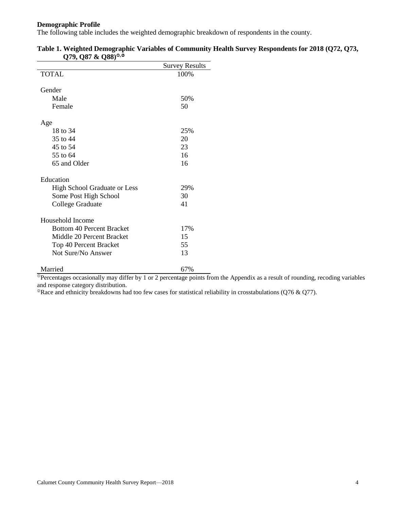#### **Demographic Profile**

The following table includes the weighted demographic breakdown of respondents in the county.

|                                     | <b>Survey Results</b> |
|-------------------------------------|-----------------------|
| <b>TOTAL</b>                        | 100%                  |
|                                     |                       |
| Gender                              |                       |
| Male                                | 50%                   |
| Female                              | 50                    |
| Age                                 |                       |
| 18 to 34                            | 25%                   |
| 35 to 44                            | 20                    |
| 45 to 54                            | 23                    |
| 55 to 64                            | 16                    |
| 65 and Older                        | 16                    |
| Education                           |                       |
| <b>High School Graduate or Less</b> | 29%                   |
| Some Post High School               | 30                    |
| College Graduate                    | 41                    |
| Household Income                    |                       |
| <b>Bottom 40 Percent Bracket</b>    | 17%                   |
| Middle 20 Percent Bracket           | 15                    |
| Top 40 Percent Bracket              | 55                    |
| Not Sure/No Answer                  | 13                    |
|                                     |                       |
| Married                             | 67%                   |

|                           | Table 1. Weighted Demographic Variables of Community Health Survey Respondents for 2018 (Q72, Q73, |  |
|---------------------------|----------------------------------------------------------------------------------------------------|--|
| $(279, 087 \& 088)^{0,2}$ |                                                                                                    |  |

 $\overline{P}$ Percentages occasionally may differ by 1 or 2 percentage points from the Appendix as a result of rounding, recoding variables and response category distribution.

<sup>@</sup>Race and ethnicity breakdowns had too few cases for statistical reliability in crosstabulations (Q76 & Q77).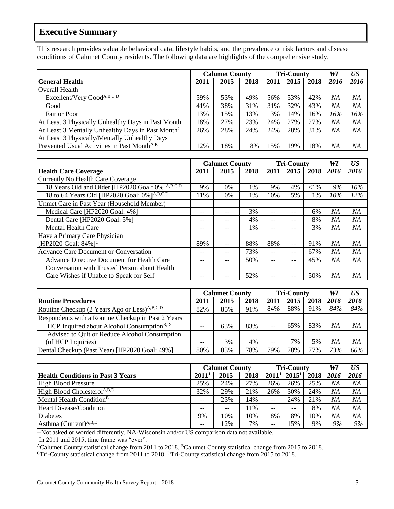# **Executive Summary**

This research provides valuable behavioral data, lifestyle habits, and the prevalence of risk factors and disease conditions of Calumet County residents. The following data are highlights of the comprehensive study.

|                                                               | <b>Calumet County</b> |      |      |      | <b>Tri-County</b> | WI   | US <sub></sub> |      |
|---------------------------------------------------------------|-----------------------|------|------|------|-------------------|------|----------------|------|
| <b>General Health</b>                                         | 2011                  | 2015 | 2018 | 2011 | 2015              | 2018 | 2016           | 2016 |
| <b>Overall Health</b>                                         |                       |      |      |      |                   |      |                |      |
| Excellent/Very Good <sup>A,B,C,D</sup>                        | 59%                   | 53%  | 49%  | 56%  | 53%               | 42%  | ΝA             | NA   |
| Good                                                          | 41%                   | 38%  | 31%  | 31%  | 32%               | 43%  | ΝA             | NΑ   |
| Fair or Poor                                                  | 3%                    | 15%  | 13%  | 3%   | 14%               | 16%  | 16%            | 16%  |
| At Least 3 Physically Unhealthy Days in Past Month            | 8%                    | 27%  | 23%  | 24%  | 27%               | 27%  | ΝA             | NΑ   |
| At Least 3 Mentally Unhealthy Days in Past Month <sup>C</sup> | 26%                   | 28%  | 24%  | 24%  | 28%               | 31%  | ΝA             | ΝA   |
| At Least 3 Physically/Mentally Unhealthy Days                 |                       |      |      |      |                   |      |                |      |
| Prevented Usual Activities in Past Month <sup>A,B</sup>       | 2%                    | 18%  | 8%   | 5%   | 19%               | 18%  | NA             | NΑ   |

|                                                             |       | <b>Calumet County</b> |      |       | <b>Tri-County</b> |          | WI   | US <sup>-</sup> |
|-------------------------------------------------------------|-------|-----------------------|------|-------|-------------------|----------|------|-----------------|
| <b>Health Care Coverage</b>                                 | 2011  | 2015                  | 2018 | 2011  | 2015              | 2018     | 2016 | 2016            |
| Currently No Health Care Coverage                           |       |                       |      |       |                   |          |      |                 |
| 18 Years Old and Older [HP2020 Goal: 0%] <sup>A,B,C,D</sup> | 9%    | $0\%$                 | 1%   | 9%    | 4%                | ${<}1\%$ | 9%   | 10%             |
| 18 to 64 Years Old [HP2020 Goal: 0%] <sup>A,B,C,D</sup>     | 11%   | $0\%$                 | 1%   | 10%   | 5%                | 1%       | 10%  | 12%             |
| Unmet Care in Past Year (Household Member)                  |       |                       |      |       |                   |          |      |                 |
| Medical Care [HP2020 Goal: 4%]                              | $ -$  |                       | 3%   | $- -$ | $- -$             | 6%       | ΝA   | NA              |
| Dental Care [HP2020 Goal: 5%]                               | --    |                       | 4%   | $- -$ | $- -$             | 8%       | ΝA   | NA              |
| <b>Mental Health Care</b>                                   | $- -$ |                       | 1%   | $- -$ | --                | 3%       | ΝA   | NΑ              |
| Have a Primary Care Physician                               |       |                       |      |       |                   |          |      |                 |
| [HP2020 Goal: $84\%$ ] <sup>C</sup>                         | 89%   |                       | 88%  | 88%   | --                | 91%      | ΝA   | ΝA              |
| <b>Advance Care Document or Conversation</b>                | --    |                       | 73%  | $- -$ | $- -$             | 67%      | ΝA   | ΝA              |
| Advance Directive Document for Health Care                  | --    |                       | 50%  | --    | $- -$             | 45%      | NA   | NA              |
| Conversation with Trusted Person about Health               |       |                       |      |       |                   |          |      |                 |
| Care Wishes if Unable to Speak for Self                     |       |                       | 52%  |       |                   | 50%      | NA   | NΑ              |

|                                                          | <b>Calumet County</b> |      |      |       | <b>Tri-County</b> | WI        | US <sup>-</sup> |      |
|----------------------------------------------------------|-----------------------|------|------|-------|-------------------|-----------|-----------------|------|
| <b>Routine Procedures</b>                                | 2011                  | 2015 | 2018 | 2011  | 2015              | 2018 2016 |                 | 2016 |
| Routine Checkup (2 Years Ago or Less) <sup>A,B,C,D</sup> | 82%                   | 85%  | 91%  | 84%   | 88%               | 91%       | 84%             | 84%  |
| Respondents with a Routine Checkup in Past 2 Years       |                       |      |      |       |                   |           |                 |      |
| HCP Inquired about Alcohol Consumption <sup>B,D</sup>    | $ -$                  | 63%  | 83%  | $- -$ | 65%               | 83%       | NΑ              | NΑ   |
| Advised to Quit or Reduce Alcohol Consumption            |                       |      |      |       |                   |           |                 |      |
| (of HCP Inquiries)                                       | --                    | 3%   | 4%   | --    | 7%                | 5%        | NΑ              | NA   |
| Dental Checkup (Past Year) [HP2020 Goal: 49%]            | 80%                   | 83%  | 78%  | 79%   | 78%               | 77%       | 73%             | 66%  |

|                                          | <b>Calumet County</b>    |          |      |                                       | <b>Tri-County</b> | WI   | US <sub></sub> |      |
|------------------------------------------|--------------------------|----------|------|---------------------------------------|-------------------|------|----------------|------|
| <b>Health Conditions in Past 3 Years</b> | 2011 <sup>1</sup>        | $2015^1$ | 2018 |                                       | $2011^1$ $2015^1$ | 2018 | 2016           | 2016 |
| <b>High Blood Pressure</b>               | 25%                      | 24%      | 27%  | 26%                                   | 26%               | 25%  | NΑ             | NΑ   |
| High Blood Cholesterol <sup>A,B,D</sup>  | 32%                      | 29%      | 21%  | 26%                                   | 30%               | 24%  | NA             | NΑ   |
| Mental Health Condition <sup>B</sup>     | $\overline{\phantom{m}}$ | 23%      | 14%  | $- -$                                 | 24%               | 21%  | NΑ             | NΑ   |
| <b>Heart Disease/Condition</b>           | $- -$                    |          | .1%  | $- -$                                 | $- -$             | 8%   | NΑ             | NΑ   |
| <b>Diabetes</b>                          | 9%                       | 10%      | 10%  | 8%                                    | 8%                | 10%  | NA             | NΑ   |
| Asthma (Current) <sup>A,B,D</sup>        | --                       | 2%       | 7%   | $\hspace{0.05cm}$ – $\hspace{0.05cm}$ | 15%               | 9%   | 9%             | 9%   |

--Not asked or worded differently. NA-Wisconsin and/or US comparison data not available.

<sup>1</sup>In 2011 and 2015, time frame was "ever".

<sup>A</sup>Calumet County statistical change from 2011 to 2018. <sup>B</sup>Calumet County statistical change from 2015 to 2018.

<sup>C</sup>Tri-County statistical change from 2011 to 2018. <sup>D</sup>Tri-County statistical change from 2015 to 2018.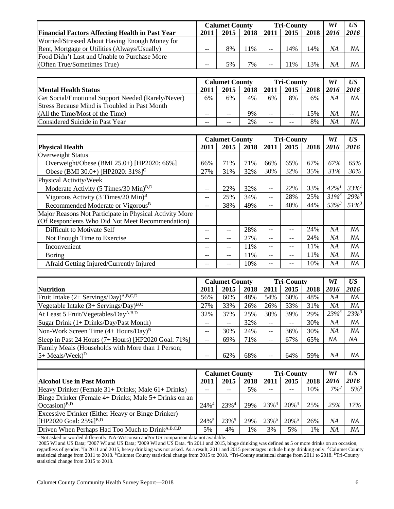|                                                        | <b>Calumet County</b> |      |       |      | <b>Tri-County</b> | WI    | US   |      |
|--------------------------------------------------------|-----------------------|------|-------|------|-------------------|-------|------|------|
| <b>Financial Factors Affecting Health in Past Year</b> | 2011                  | 2015 | 2018  | 2011 | 2015              | 2018  | 2016 | 2016 |
| Worried/Stressed About Having Enough Money for         |                       |      |       |      |                   |       |      |      |
| Rent, Mortgage or Utilities (Always/Usually)           | --                    | 8%   | $1\%$ | $-$  | 14%               | 14%   | NΑ   | NΑ   |
| Food Didn't Last and Unable to Purchase More           |                       |      |       |      |                   |       |      |      |
| (Often True/Sometimes True)                            | --                    | 5%   | $7\%$ | --   | $1\%$             | $3\%$ | NΑ   | ΝA   |

|                                                      | <b>Calumet County</b> |       |      |      | <b>Tri-County</b> | WI   | US   |      |
|------------------------------------------------------|-----------------------|-------|------|------|-------------------|------|------|------|
| <b>Mental Health Status</b>                          | 2011                  | 2015  | 2018 | 2011 | 2015              | 2018 | 2016 | 2016 |
| Get Social/Emotional Support Needed (Rarely/Never)   | 6%                    | 6%    | 4%   | 6%   | 8%                | 6%   | ΝA   | ΝA   |
| <b>Stress Because Mind is Troubled in Past Month</b> |                       |       |      |      |                   |      |      |      |
| (All the Time/Most of the Time)                      | $- -$                 | $- -$ | 9%   | --   | $-$               | 15%  | NΑ   | ΝA   |
| Considered Suicide in Past Year                      | $- -$                 | $- -$ | 2%   | --   | --                | 8%   | NΑ   | ΝA   |

|                                                         |       | <b>Calumet County</b> |      |      | <b>Tri-County</b> |      | WI         | US         |
|---------------------------------------------------------|-------|-----------------------|------|------|-------------------|------|------------|------------|
| <b>Physical Health</b>                                  | 2011  | 2015                  | 2018 | 2011 | 2015              | 2018 | 2016       | 2016       |
| <b>Overweight Status</b>                                |       |                       |      |      |                   |      |            |            |
| Overweight/Obese (BMI 25.0+) [HP2020: 66%]              | 66%   | 71%                   | 71%  | 66%  | 65%               | 67%  | 67%        | 65%        |
| Obese (BMI 30.0+) [HP2020: 31%] <sup>C</sup>            | 27%   | 31%                   | 32%  | 30%  | 32%               | 35%  | 31%        | 30%        |
| Physical Activity/Week                                  |       |                       |      |      |                   |      |            |            |
| Moderate Activity (5 Times/30 Min) <sup>B,D</sup>       | $-$   | 22%                   | 32%  | --   | 22%               | 33%  | $42\%^{1}$ | $33%^{1}$  |
| Vigorous Activity (3 Times/20 Min) <sup>B</sup>         | $- -$ | 25%                   | 34%  | --   | 28%               | 25%  | $31\%^{3}$ | $29\%^{3}$ |
| Recommended Moderate or Vigorous <sup>B</sup>           | $- -$ | 38%                   | 49%  | --   | 40%               | 44%  | $53\%$     | $51\%$     |
| Major Reasons Not Participate in Physical Activity More |       |                       |      |      |                   |      |            |            |
| (Of Respondents Who Did Not Meet Recommendation)        |       |                       |      |      |                   |      |            |            |
| Difficult to Motivate Self                              |       | --                    | 28%  |      | --                | 24%  | NA         | NA         |
| Not Enough Time to Exercise                             | $ -$  |                       | 27%  | --   | $-$               | 24%  | NA         | NA         |
| Inconvenient                                            | $ -$  | $-$                   | 11%  | --   | --                | 11%  | ΝA         | NA         |
| Boring                                                  | $ -$  | $-$                   | 11%  | --   | --                | 11%  | NA         | NA         |
| Afraid Getting Injured/Currently Injured                |       |                       | 10%  |      |                   | 10%  | NA         | NA         |

|                                                      |       | <b>Calumet County</b> |      |      | <b>Tri-County</b> | WI   | US <sup>-</sup> |            |
|------------------------------------------------------|-------|-----------------------|------|------|-------------------|------|-----------------|------------|
| <b>Nutrition</b>                                     | 2011  | 2015                  | 2018 | 2011 | 2015              | 2018 | 2016            | 2016       |
| Fruit Intake $(2+$ Servings/Day) <sup>A,B,C,D</sup>  | 56%   | 60%                   | 48%  | 54%  | 60%               | 48%  | ΝA              | NА         |
| Vegetable Intake $(3+$ Servings/Day) <sup>B,C</sup>  | 27%   | 33%                   | 26%  | 26%  | 33%               | 31%  | ΝA              | NА         |
| At Least 5 Fruit/Vegetables/DayA.B.D                 | 32%   | 37%                   | 25%  | 30%  | 39%               | 29%  | $23\%^{3}$      | $23\%^{3}$ |
| Sugar Drink (1+ Drinks/Day/Past Month)               |       | $- -$                 | 32%  | --   | $--$              | 30%  | NΑ              | NA         |
| Non-Work Screen Time $(4 + Hours/Day)^B$             | $- -$ | 30%                   | 24%  | --   | 36%               | 30%  | ΝA              | ΝA         |
| Sleep in Past 24 Hours (7+ Hours) [HP2020 Goal: 71%] | $- -$ | 69%                   | 71%  | --   | 67%               | 65%  | ΝA              | NA         |
| Family Meals (Households with More than 1 Person;    |       |                       |      |      |                   |      |                 |            |
| $5+$ Meals/Week) <sup>D</sup>                        |       | 62%                   | 68%  |      | 64%               | 59%  | ΝA              | NΑ         |

|                                                              | <b>Calumet County</b> |                     |      |                     | <b>Tri-County</b>   | WI   | US <sup>-</sup> |         |
|--------------------------------------------------------------|-----------------------|---------------------|------|---------------------|---------------------|------|-----------------|---------|
| <b>Alcohol Use in Past Month</b>                             | 2011                  | 2015                | 2018 | 2011                | 2015                | 2018 | 2016            | 2016    |
| Heavy Drinker (Female 31+ Drinks; Male 61+ Drinks)           |                       |                     | 5%   | --                  |                     | 10%  | $7\%^2$         | $5\%^2$ |
| Binge Drinker (Female 4+ Drinks; Male 5+ Drinks on an        |                       |                     |      |                     |                     |      |                 |         |
| $Occasion$ <sup>B,D</sup>                                    | $24\%$ <sup>4</sup>   | $23\%$ <sup>4</sup> | 29%  | $23\%$ <sup>4</sup> | $20\%$ <sup>4</sup> | 25%  | 25%             | 17%     |
| Excessive Drinker (Either Heavy or Binge Drinker)            |                       |                     |      |                     |                     |      |                 |         |
| [HP2020 Goal: $25\%$ ] <sup>B,D</sup>                        | $24\%$ <sup>5</sup>   | $23\%$ <sup>5</sup> | 29%  | 23% <sup>5</sup>    | $20\%$ <sup>5</sup> | 26%  | NA              | NΑ      |
| Driven When Perhaps Had Too Much to Drink <sup>A,B,C,D</sup> | 5%                    | 4%                  | 1%   | 3%                  | 5%                  | 1%   | NA              | ΝA      |

--Not asked or worded differently. NA-Wisconsin and/or US comparison data not available.

<sup>1</sup>2005 WI and US Data; <sup>2</sup>2007 WI and US Data; <sup>3</sup>2009 WI and US Data. <sup>4</sup>In 2011 and 2015, binge drinking was defined as 5 or more drinks on an occasion, regardless of gender. <sup>5</sup>In 2011 and 2015, heavy drinking was not asked. As a result, 2011 and 2015 percentages include binge drinking only. <sup>A</sup>Calumet County statistical change from 2011 to 2018. <sup>B</sup>Calumet County statistical change from 2015 to 2018. <sup>C</sup>Tri-County statistical change from 2011 to 2018. <sup>D</sup>Tri-County statistical change from 2015 to 2018.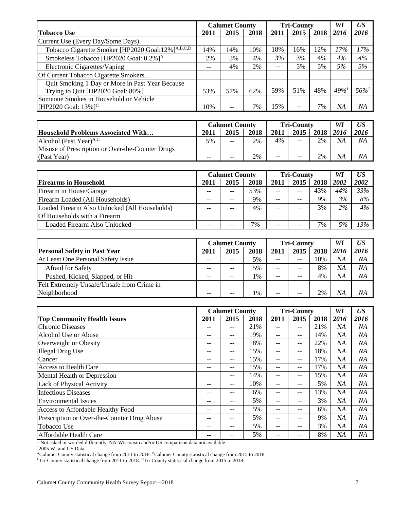|                                                               | <b>Calumet County</b> |      |      |                   | <b>Tri-County</b> | WI   | US <sup>-</sup> |        |
|---------------------------------------------------------------|-----------------------|------|------|-------------------|-------------------|------|-----------------|--------|
| <b>Tobacco Use</b>                                            | 2011                  | 2015 | 2018 | 2011              | 2015              | 2018 | 2016            | 2016   |
| Current Use (Every Day/Some Days)                             |                       |      |      |                   |                   |      |                 |        |
| Tobacco Cigarette Smoker [HP2020 Goal:12%] <sup>A,B,C,D</sup> | 14%                   | 14%  | 10%  | 18%               | 16%               | 12%  | 17%             | 17%    |
| Smokeless Tobacco [HP2020 Goal: 0.2%] <sup>A</sup>            | 2%                    | 3%   | 4%   | 3%                | 3%                | 4%   | 4%              | 4%     |
| Electronic Cigarettes/Vaping                                  | $\qquad \qquad -$     | 4%   | 2%   | $\qquad \qquad -$ | 5%                | 5%   | 5%              | 5%     |
| Of Current Tobacco Cigarette Smokers                          |                       |      |      |                   |                   |      |                 |        |
| Quit Smoking 1 Day or More in Past Year Because               |                       |      |      |                   |                   |      |                 |        |
| Trying to Quit [HP2020 Goal: 80%]                             | 53%                   | 57%  | 62%  | 59%               | 51%               | 48%  | $49\%$          | $56\%$ |
| Someone Smokes in Household or Vehicle                        |                       |      |      |                   |                   |      |                 |        |
| [HP2020 Goal: $13\%$ ] <sup>C</sup>                           | 10%                   |      | 7%   | 15%               | --                | 7%   | ΝA              | ΝA     |

|                                                  | <b>Calumet County</b> |       |      | <b>Tri-County</b> |       |           | WI | US <sup>-</sup> |
|--------------------------------------------------|-----------------------|-------|------|-------------------|-------|-----------|----|-----------------|
| <b>Household Problems Associated With</b>        | 2011                  | 2015  | 2018 | 2011              | 2015  | 2018 2016 |    | 2016            |
| Alcohol (Past Year) <sup>A,C</sup>               | 5%                    | $- -$ | 2%   | 4%                | $- -$ | 2%        | NΑ | NΑ              |
| Misuse of Prescription or Over-the-Counter Drugs |                       |       |      |                   |       |           |    |                 |
| (Past Year)                                      | --                    | $- -$ | 2%   | --                | $- -$ | 2%        | NΑ | ΝA              |

|                                               | <b>Calumet County</b> |      |      | <b>Tri-County</b> |       |      | WI   | US <sup>-</sup> |
|-----------------------------------------------|-----------------------|------|------|-------------------|-------|------|------|-----------------|
| <b>Firearms in Household</b>                  | 2011                  | 2015 | 2018 | 2011              | 2015  | 2018 | 2002 | 2002            |
| Firearm in House/Garage                       |                       | $ -$ | 53%  | $- -$             | $- -$ | 43%  | 44%  | 33%             |
| Firearm Loaded (All Households)               |                       | --   | 9%   | $- -$             | --    | 9%   | 3%   | 8%              |
| Loaded Firearm Also Unlocked (All Households) |                       | --   | 4%   | $- -$             | $- -$ | 3%   | 2%   | 4%              |
| Of Households with a Firearm                  |                       |      |      |                   |       |      |      |                 |
| Loaded Firearm Also Unlocked                  |                       |      | 7%   | $- -$             | $- -$ | 7%   | 5%   | 13%             |

|                                            | <b>Calumet County</b> |                          |      | <b>Tri-County</b> |                   |           | WI | US <sup>-</sup> |
|--------------------------------------------|-----------------------|--------------------------|------|-------------------|-------------------|-----------|----|-----------------|
| <b>Personal Safety in Past Year</b>        | 2011                  | 2015                     | 2018 | 2011              | 2015              | 2018 2016 |    | 2016            |
| At Least One Personal Safety Issue         |                       | $- -$                    | 5%   | $- -$             | $\qquad \qquad -$ | 10%       | ΝA | NΑ              |
| <b>Afraid for Safety</b>                   |                       | $\overline{\phantom{m}}$ | 5%   | --                | --                | 8%        | NA | NA              |
| Pushed, Kicked, Slapped, or Hit            |                       | $- -$                    | 1%   | $- -$             | --                | 4%        | ΝA | NA              |
| Felt Extremely Unsafe/Unsafe from Crime in |                       |                          |      |                   |                   |           |    |                 |
| Neighborhood                               | --                    | --                       | 1%   | $- -$             | --                | 2%        | NΑ | NΑ              |

|                                             | <b>Calumet County</b> |       | <b>Tri-County</b> |       |       | WI   | US <sub></sub> |      |
|---------------------------------------------|-----------------------|-------|-------------------|-------|-------|------|----------------|------|
| <b>Top Community Health Issues</b>          | 2011                  | 2015  | 2018              | 2011  | 2015  | 2018 | 2016           | 2016 |
| <b>Chronic Diseases</b>                     | --                    | --    | 21%               | $- -$ | $- -$ | 21%  | ΝA             | ΝA   |
| Alcohol Use or Abuse                        | $- -$                 | --    | 19%               | $- -$ | $- -$ | 14%  | NΑ             | NA   |
| Overweight or Obesity                       | --                    | $- -$ | 18%               | $- -$ | $- -$ | 22%  | NΑ             | NA   |
| <b>Illegal Drug Use</b>                     | --                    | --    | 15%               | --    | $- -$ | 18%  | NA             | NA   |
| Cancer                                      | --                    | --    | 15%               | $- -$ | $- -$ | 17%  | NA             | NA   |
| <b>Access to Health Care</b>                | --                    | --    | 15%               | $- -$ | $- -$ | 17%  | NA             | NA   |
| <b>Mental Health or Depression</b>          | --                    | --    | 14%               | $- -$ | $- -$ | 15%  | NΑ             | NA   |
| Lack of Physical Activity                   | --                    | --    | 10%               | --    | $- -$ | 5%   | ΝA             | NА   |
| <b>Infectious Diseases</b>                  | --                    | --    | 6%                | $- -$ | $- -$ | 13%  | NΑ             | NA   |
| <b>Environmental Issues</b>                 | --                    | --    | 5%                | $- -$ | $- -$ | 3%   | NA             | NA   |
| Access to Affordable Healthy Food           | --                    | --    | 5%                | $- -$ | $- -$ | 6%   | NΑ             | NA   |
| Prescription or Over-the-Counter Drug Abuse | --                    | $- -$ | 5%                | $- -$ | $- -$ | 9%   | NΑ             | NA   |
| Tobacco Use                                 | $- -$                 | --    | 5%                | --    | $- -$ | 3%   | NΑ             | NA   |
| Affordable Health Care                      | --                    | --    | 5%                | --    | --    | 8%   | NΑ             | NA   |

--Not asked or worded differently. NA-Wisconsin and/or US comparison data not available.

<sup>1</sup>2005 WI and US Data.

<sup>A</sup>Calumet County statistical change from 2011 to 2018. <sup>B</sup>Calumet County statistical change from 2015 to 2018.

 $\rm{CTri-County}$  statistical change from 2011 to 2018.  $\rm{DTri-County}$  statistical change from 2015 to 2018.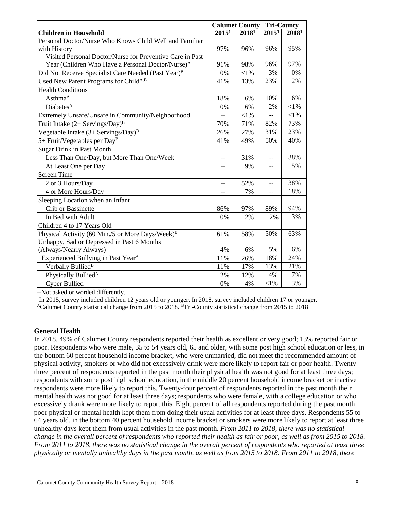|                                                                 |                   | <b>Calumet County</b> | <b>Tri-County</b> |                   |  |
|-----------------------------------------------------------------|-------------------|-----------------------|-------------------|-------------------|--|
| <b>Children in Household</b>                                    | 2015 <sup>1</sup> | 20181                 | 2015 <sup>1</sup> | 2018 <sup>1</sup> |  |
| Personal Doctor/Nurse Who Knows Child Well and Familiar         |                   |                       |                   |                   |  |
| with History                                                    | 97%               | 96%                   | 96%               | 95%               |  |
| Visited Personal Doctor/Nurse for Preventive Care in Past       |                   |                       |                   |                   |  |
| Year (Children Who Have a Personal Doctor/Nurse) <sup>A</sup>   | 91%               | 98%                   | 96%               | 97%               |  |
| Did Not Receive Specialist Care Needed (Past Year) <sup>B</sup> | 0%                | ${<}1\%$              | 3%                | 0%                |  |
| Used New Parent Programs for Child <sup>A,B</sup>               | 41%               | 13%                   | 23%               | 12%               |  |
| <b>Health Conditions</b>                                        |                   |                       |                   |                   |  |
| Asthma <sup>A</sup>                                             | 18%               | 6%                    | 10%               | 6%                |  |
| Diabetes <sup>A</sup>                                           | 0%                | 6%                    | 2%                | $<$ 1%            |  |
| Extremely Unsafe/Unsafe in Community/Neighborhood               | --                | $<$ l%                | --                | $<$ 1%            |  |
| Fruit Intake $(2+$ Servings/Day) <sup>B</sup>                   | 70%               | 71%                   | 82%               | 73%               |  |
| Vegetable Intake (3+ Servings/Day) <sup>B</sup>                 | 26%               | 27%                   | 31%               | 23%               |  |
| 5+ Fruit/Vegetables per Day <sup>B</sup>                        | 41%               | 49%                   | 50%               | 40%               |  |
| <b>Sugar Drink in Past Month</b>                                |                   |                       |                   |                   |  |
| Less Than One/Day, but More Than One/Week                       | $-$               | 31%                   | $\overline{a}$    | 38%               |  |
| At Least One per Day                                            | $-$               | 9%                    | $\overline{a}$    | 15%               |  |
| <b>Screen Time</b>                                              |                   |                       |                   |                   |  |
| 2 or 3 Hours/Day                                                | --                | 52%                   | $-$               | 38%               |  |
| 4 or More Hours/Day                                             | --                | 7%                    |                   | 18%               |  |
| Sleeping Location when an Infant                                |                   |                       |                   |                   |  |
| <b>Crib or Bassinette</b>                                       | 86%               | 97%                   | 89%               | 94%               |  |
| In Bed with Adult                                               | 0%                | 2%                    | 2%                | 3%                |  |
| Children 4 to 17 Years Old                                      |                   |                       |                   |                   |  |
| Physical Activity (60 Min./5 or More Days/Week) <sup>B</sup>    | 61%               | 58%                   | 50%               | 63%               |  |
| Unhappy, Sad or Depressed in Past 6 Months                      |                   |                       |                   |                   |  |
| (Always/Nearly Always)                                          | 4%                | 6%                    | 5%                | 6%                |  |
| Experienced Bullying in Past Year <sup>A</sup>                  | 11%               | 26%                   | 18%               | 24%               |  |
| Verbally Bullied <sup>B</sup>                                   | 11%               | 17%                   | 13%               | 21%               |  |
| Physically Bullied <sup>A</sup>                                 | 2%                | 12%                   | 4%                | 7%                |  |
| <b>Cyber Bullied</b>                                            | 0%                | 4%                    | $<$ l%            | 3%                |  |

--Not asked or worded differently.

<sup>1</sup>In 2015, survey included children 12 years old or younger. In 2018, survey included children 17 or younger.

<sup>A</sup>Calumet County statistical change from 2015 to 2018. <sup>B</sup>Tri-County statistical change from 2015 to 2018

#### **General Health**

In 2018, 49% of Calumet County respondents reported their health as excellent or very good; 13% reported fair or poor. Respondents who were male, 35 to 54 years old, 65 and older, with some post high school education or less, in the bottom 60 percent household income bracket, who were unmarried, did not meet the recommended amount of physical activity, smokers or who did not excessively drink were more likely to report fair or poor health. Twentythree percent of respondents reported in the past month their physical health was not good for at least three days; respondents with some post high school education, in the middle 20 percent household income bracket or inactive respondents were more likely to report this. Twenty-four percent of respondents reported in the past month their mental health was not good for at least three days; respondents who were female, with a college education or who excessively drank were more likely to report this. Eight percent of all respondents reported during the past month poor physical or mental health kept them from doing their usual activities for at least three days. Respondents 55 to 64 years old, in the bottom 40 percent household income bracket or smokers were more likely to report at least three unhealthy days kept them from usual activities in the past month. *From 2011 to 2018, there was no statistical change in the overall percent of respondents who reported their health as fair or poor, as well as from 2015 to 2018. From 2011 to 2018, there was no statistical change in the overall percent of respondents who reported at least three physically or mentally unhealthy days in the past month, as well as from 2015 to 2018. From 2011 to 2018, there*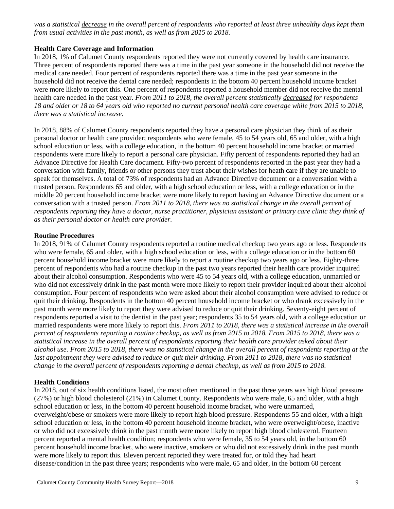*was a statistical decrease in the overall percent of respondents who reported at least three unhealthy days kept them from usual activities in the past month, as well as from 2015 to 2018.*

#### **Health Care Coverage and Information**

In 2018, 1% of Calumet County respondents reported they were not currently covered by health care insurance. Three percent of respondents reported there was a time in the past year someone in the household did not receive the medical care needed. Four percent of respondents reported there was a time in the past year someone in the household did not receive the dental care needed; respondents in the bottom 40 percent household income bracket were more likely to report this. One percent of respondents reported a household member did not receive the mental health care needed in the past year. *From 2011 to 2018, the overall percent statistically decreased for respondents 18 and older or 18 to 64 years old who reported no current personal health care coverage while from 2015 to 2018, there was a statistical increase.*

In 2018, 88% of Calumet County respondents reported they have a personal care physician they think of as their personal doctor or health care provider; respondents who were female, 45 to 54 years old, 65 and older, with a high school education or less, with a college education, in the bottom 40 percent household income bracket or married respondents were more likely to report a personal care physician. Fifty percent of respondents reported they had an Advance Directive for Health Care document. Fifty-two percent of respondents reported in the past year they had a conversation with family, friends or other persons they trust about their wishes for heath care if they are unable to speak for themselves. A total of 73% of respondents had an Advance Directive document or a conversation with a trusted person. Respondents 65 and older, with a high school education or less, with a college education or in the middle 20 percent household income bracket were more likely to report having an Advance Directive document or a conversation with a trusted person. *From 2011 to 2018, there was no statistical change in the overall percent of*  respondents reporting they have a doctor, nurse practitioner, physician assistant or primary care clinic they think of *as their personal doctor or health care provider.*

#### **Routine Procedures**

In 2018, 91% of Calumet County respondents reported a routine medical checkup two years ago or less. Respondents who were female, 65 and older, with a high school education or less, with a college education or in the bottom 60 percent household income bracket were more likely to report a routine checkup two years ago or less. Eighty-three percent of respondents who had a routine checkup in the past two years reported their health care provider inquired about their alcohol consumption. Respondents who were 45 to 54 years old, with a college education, unmarried or who did not excessively drink in the past month were more likely to report their provider inquired about their alcohol consumption. Four percent of respondents who were asked about their alcohol consumption were advised to reduce or quit their drinking. Respondents in the bottom 40 percent household income bracket or who drank excessively in the past month were more likely to report they were advised to reduce or quit their drinking. Seventy-eight percent of respondents reported a visit to the dentist in the past year; respondents 35 to 54 years old, with a college education or married respondents were more likely to report this. *From 2011 to 2018, there was a statistical increase in the overall percent of respondents reporting a routine checkup, as well as from 2015 to 2018. From 2015 to 2018, there was a statistical increase in the overall percent of respondents reporting their health care provider asked about their alcohol use. From 2015 to 2018, there was no statistical change in the overall percent of respondents reporting at the*  last appointment they were advised to reduce or quit their drinking. From 2011 to 2018, there was no statistical *change in the overall percent of respondents reporting a dental checkup, as well as from 2015 to 2018.*

#### **Health Conditions**

In 2018, out of six health conditions listed, the most often mentioned in the past three years was high blood pressure (27%) or high blood cholesterol (21%) in Calumet County. Respondents who were male, 65 and older, with a high school education or less, in the bottom 40 percent household income bracket, who were unmarried, overweight/obese or smokers were more likely to report high blood pressure. Respondents 55 and older, with a high school education or less, in the bottom 40 percent household income bracket, who were overweight/obese, inactive or who did not excessively drink in the past month were more likely to report high blood cholesterol. Fourteen percent reported a mental health condition; respondents who were female, 35 to 54 years old, in the bottom 60 percent household income bracket, who were inactive, smokers or who did not excessively drink in the past month were more likely to report this. Eleven percent reported they were treated for, or told they had heart disease/condition in the past three years; respondents who were male, 65 and older, in the bottom 60 percent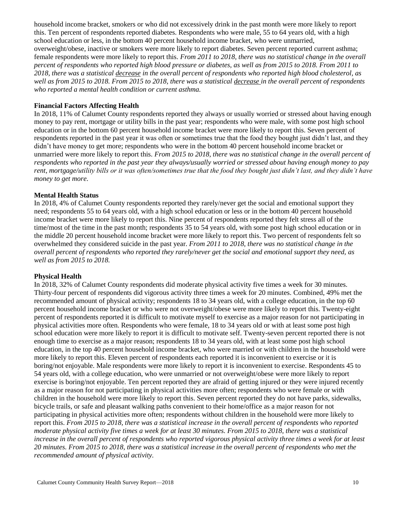household income bracket, smokers or who did not excessively drink in the past month were more likely to report this. Ten percent of respondents reported diabetes. Respondents who were male, 55 to 64 years old, with a high school education or less, in the bottom 40 percent household income bracket, who were unmarried, overweight/obese, inactive or smokers were more likely to report diabetes. Seven percent reported current asthma; female respondents were more likely to report this. *From 2011 to 2018, there was no statistical change in the overall percent of respondents who reported high blood pressure or diabetes, as well as from 2015 to 2018. From 2011 to 2018, there was a statistical decrease in the overall percent of respondents who reported high blood cholesterol, as well as from 2015 to 2018. From 2015 to 2018, there was a statistical decrease in the overall percent of respondents who reported a mental health condition or current asthma.*

#### **Financial Factors Affecting Health**

In 2018, 11% of Calumet County respondents reported they always or usually worried or stressed about having enough money to pay rent, mortgage or utility bills in the past year; respondents who were male, with some post high school education or in the bottom 60 percent household income bracket were more likely to report this. Seven percent of respondents reported in the past year it was often or sometimes true that the food they bought just didn't last, and they didn't have money to get more; respondents who were in the bottom 40 percent household income bracket or unmarried were more likely to report this. *From 2015 to 2018, there was no statistical change in the overall percent of respondents who reported in the past year they always/usually worried or stressed about having enough money to pay rent, mortgage/utility bills or it was often/sometimes true that the food they bought just didn't last, and they didn't have money to get more.*

#### **Mental Health Status**

In 2018, 4% of Calumet County respondents reported they rarely/never get the social and emotional support they need; respondents 55 to 64 years old, with a high school education or less or in the bottom 40 percent household income bracket were more likely to report this. Nine percent of respondents reported they felt stress all of the time/most of the time in the past month; respondents 35 to 54 years old, with some post high school education or in the middle 20 percent household income bracket were more likely to report this. Two percent of respondents felt so overwhelmed they considered suicide in the past year. *From 2011 to 2018, there was no statistical change in the overall percent of respondents who reported they rarely/never get the social and emotional support they need, as well as from 2015 to 2018.*

#### **Physical Health**

In 2018, 32% of Calumet County respondents did moderate physical activity five times a week for 30 minutes. Thirty-four percent of respondents did vigorous activity three times a week for 20 minutes. Combined, 49% met the recommended amount of physical activity; respondents 18 to 34 years old, with a college education, in the top 60 percent household income bracket or who were not overweight/obese were more likely to report this. Twenty-eight percent of respondents reported it is difficult to motivate myself to exercise as a major reason for not participating in physical activities more often. Respondents who were female, 18 to 34 years old or with at least some post high school education were more likely to report it is difficult to motivate self. Twenty-seven percent reported there is not enough time to exercise as a major reason; respondents 18 to 34 years old, with at least some post high school education, in the top 40 percent household income bracket, who were married or with children in the household were more likely to report this. Eleven percent of respondents each reported it is inconvenient to exercise or it is boring/not enjoyable. Male respondents were more likely to report it is inconvenient to exercise. Respondents 45 to 54 years old, with a college education, who were unmarried or not overweight/obese were more likely to report exercise is boring/not enjoyable. Ten percent reported they are afraid of getting injured or they were injured recently as a major reason for not participating in physical activities more often; respondents who were female or with children in the household were more likely to report this. Seven percent reported they do not have parks, sidewalks, bicycle trails, or safe and pleasant walking paths convenient to their home/office as a major reason for not participating in physical activities more often; respondents without children in the household were more likely to report this. *From 2015 to 2018, there was a statistical increase in the overall percent of respondents who reported*  moderate physical activity five times a week for at least 30 minutes. From 2015 to 2018, there was a statistical *increase in the overall percent of respondents who reported vigorous physical activity three times a week for at least 20 minutes. From 2015 to 2018, there was a statistical increase in the overall percent of respondents who met the recommended amount of physical activity.*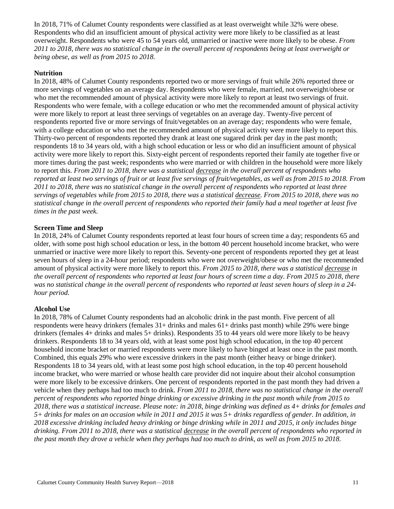In 2018, 71% of Calumet County respondents were classified as at least overweight while 32% were obese. Respondents who did an insufficient amount of physical activity were more likely to be classified as at least overweight. Respondents who were 45 to 54 years old, unmarried or inactive were more likely to be obese. *From 2011 to 2018, there was no statistical change in the overall percent of respondents being at least overweight or being obese, as well as from 2015 to 2018.* 

#### **Nutrition**

In 2018, 48% of Calumet County respondents reported two or more servings of fruit while 26% reported three or more servings of vegetables on an average day. Respondents who were female, married, not overweight/obese or who met the recommended amount of physical activity were more likely to report at least two servings of fruit. Respondents who were female, with a college education or who met the recommended amount of physical activity were more likely to report at least three servings of vegetables on an average day. Twenty-five percent of respondents reported five or more servings of fruit/vegetables on an average day; respondents who were female, with a college education or who met the recommended amount of physical activity were more likely to report this. Thirty-two percent of respondents reported they drank at least one sugared drink per day in the past month; respondents 18 to 34 years old, with a high school education or less or who did an insufficient amount of physical activity were more likely to report this. Sixty-eight percent of respondents reported their family ate together five or more times during the past week; respondents who were married or with children in the household were more likely to report this. *From 2011 to 2018, there was a statistical decrease in the overall percent of respondents who reported at least two servings of fruit or at least five servings of fruit/vegetables, as well as from 2015 to 2018. From 2011 to 2018, there was no statistical change in the overall percent of respondents who reported at least three servings of vegetables while from 2015 to 2018, there was a statistical decrease. From 2015 to 2018, there was no statistical change in the overall percent of respondents who reported their family had a meal together at least five times in the past week.*

#### **Screen Time and Sleep**

In 2018, 24% of Calumet County respondents reported at least four hours of screen time a day; respondents 65 and older, with some post high school education or less, in the bottom 40 percent household income bracket, who were unmarried or inactive were more likely to report this. Seventy-one percent of respondents reported they get at least seven hours of sleep in a 24-hour period; respondents who were not overweight/obese or who met the recommended amount of physical activity were more likely to report this. *From 2015 to 2018, there was a statistical decrease in the overall percent of respondents who reported at least four hours of screen time a day. From 2015 to 2018, there was no statistical change in the overall percent of respondents who reported at least seven hours of sleep in a 24 hour period.*

#### **Alcohol Use**

In 2018, 78% of Calumet County respondents had an alcoholic drink in the past month. Five percent of all respondents were heavy drinkers (females 31+ drinks and males 61+ drinks past month) while 29% were binge drinkers (females 4+ drinks and males 5+ drinks). Respondents 35 to 44 years old were more likely to be heavy drinkers. Respondents 18 to 34 years old, with at least some post high school education, in the top 40 percent household income bracket or married respondents were more likely to have binged at least once in the past month. Combined, this equals 29% who were excessive drinkers in the past month (either heavy or binge drinker). Respondents 18 to 34 years old, with at least some post high school education, in the top 40 percent household income bracket, who were married or whose health care provider did not inquire about their alcohol consumption were more likely to be excessive drinkers. One percent of respondents reported in the past month they had driven a vehicle when they perhaps had too much to drink. *From 2011 to 2018, there was no statistical change in the overall percent of respondents who reported binge drinking or excessive drinking in the past month while from 2015 to 2018, there was a statistical increase. Please note: in 2018, binge drinking was defined as 4+ drinks for females and 5+ drinks for males on an occasion while in 2011 and 2015 it was 5+ drinks regardless of gender. In addition, in 2018 excessive drinking included heavy drinking or binge drinking while in 2011 and 2015, it only includes binge drinking. From 2011 to 2018, there was a statistical decrease in the overall percent of respondents who reported in the past month they drove a vehicle when they perhaps had too much to drink, as well as from 2015 to 2018.*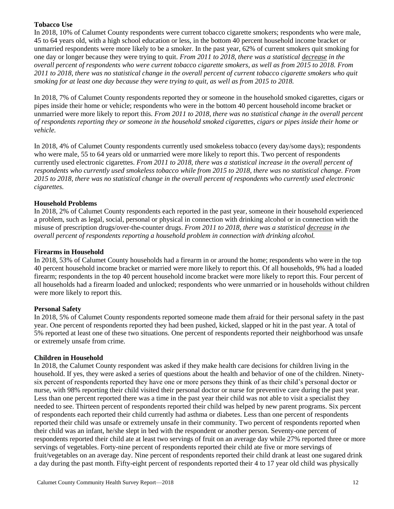### **Tobacco Use**

In 2018, 10% of Calumet County respondents were current tobacco cigarette smokers; respondents who were male, 45 to 64 years old, with a high school education or less, in the bottom 40 percent household income bracket or unmarried respondents were more likely to be a smoker. In the past year, 62% of current smokers quit smoking for one day or longer because they were trying to quit. *From 2011 to 2018, there was a statistical decrease in the overall percent of respondents who were current tobacco cigarette smokers, as well as from 2015 to 2018. From 2011 to 2018, there was no statistical change in the overall percent of current tobacco cigarette smokers who quit smoking for at least one day because they were trying to quit, as well as from 2015 to 2018.*

In 2018, 7% of Calumet County respondents reported they or someone in the household smoked cigarettes, cigars or pipes inside their home or vehicle; respondents who were in the bottom 40 percent household income bracket or unmarried were more likely to report this. *From 2011 to 2018, there was no statistical change in the overall percent of respondents reporting they or someone in the household smoked cigarettes, cigars or pipes inside their home or vehicle.*

In 2018, 4% of Calumet County respondents currently used smokeless tobacco (every day/some days); respondents who were male, 55 to 64 years old or unmarried were more likely to report this. Two percent of respondents currently used electronic cigarettes. *From 2011 to 2018, there was a statistical increase in the overall percent of respondents who currently used smokeless tobacco while from 2015 to 2018, there was no statistical change. From 2015 to 2018, there was no statistical change in the overall percent of respondents who currently used electronic cigarettes.*

## **Household Problems**

In 2018, 2% of Calumet County respondents each reported in the past year, someone in their household experienced a problem, such as legal, social, personal or physical in connection with drinking alcohol or in connection with the misuse of prescription drugs/over-the-counter drugs. *From 2011 to 2018, there was a statistical decrease in the overall percent of respondents reporting a household problem in connection with drinking alcohol.*

#### **Firearms in Household**

In 2018, 53% of Calumet County households had a firearm in or around the home; respondents who were in the top 40 percent household income bracket or married were more likely to report this. Of all households, 9% had a loaded firearm; respondents in the top 40 percent household income bracket were more likely to report this. Four percent of all households had a firearm loaded and unlocked; respondents who were unmarried or in households without children were more likely to report this.

#### **Personal Safety**

In 2018, 5% of Calumet County respondents reported someone made them afraid for their personal safety in the past year. One percent of respondents reported they had been pushed, kicked, slapped or hit in the past year. A total of 5% reported at least one of these two situations. One percent of respondents reported their neighborhood was unsafe or extremely unsafe from crime*.*

#### **Children in Household**

In 2018, the Calumet County respondent was asked if they make health care decisions for children living in the household. If yes, they were asked a series of questions about the health and behavior of one of the children. Ninetysix percent of respondents reported they have one or more persons they think of as their child's personal doctor or nurse, with 98% reporting their child visited their personal doctor or nurse for preventive care during the past year. Less than one percent reported there was a time in the past year their child was not able to visit a specialist they needed to see. Thirteen percent of respondents reported their child was helped by new parent programs. Six percent of respondents each reported their child currently had asthma or diabetes. Less than one percent of respondents reported their child was unsafe or extremely unsafe in their community. Two percent of respondents reported when their child was an infant, he/she slept in bed with the respondent or another person. Seventy-one percent of respondents reported their child ate at least two servings of fruit on an average day while 27% reported three or more servings of vegetables. Forty-nine percent of respondents reported their child ate five or more servings of fruit/vegetables on an average day. Nine percent of respondents reported their child drank at least one sugared drink a day during the past month. Fifty-eight percent of respondents reported their 4 to 17 year old child was physically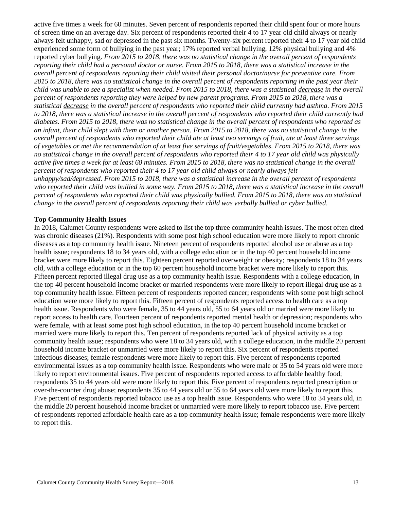active five times a week for 60 minutes. Seven percent of respondents reported their child spent four or more hours of screen time on an average day. Six percent of respondents reported their 4 to 17 year old child always or nearly always felt unhappy, sad or depressed in the past six months. Twenty-six percent reported their 4 to 17 year old child experienced some form of bullying in the past year; 17% reported verbal bullying, 12% physical bullying and 4% reported cyber bullying. *From 2015 to 2018, there was no statistical change in the overall percent of respondents reporting their child had a personal doctor or nurse. From 2015 to 2018, there was a statistical increase in the overall percent of respondents reporting their child visited their personal doctor/nurse for preventive care. From 2015 to 2018, there was no statistical change in the overall percent of respondents reporting in the past year their child was unable to see a specialist when needed. From 2015 to 2018, there was a statistical decrease in the overall percent of respondents reporting they were helped by new parent programs. From 2015 to 2018, there was a statistical decrease in the overall percent of respondents who reported their child currently had asthma. From 2015 to 2018, there was a statistical increase in the overall percent of respondents who reported their child currently had diabetes. From 2015 to 2018, there was no statistical change in the overall percent of respondents who reported as an infant, their child slept with them or another person. From 2015 to 2018, there was no statistical change in the overall percent of respondents who reported their child ate at least two servings of fruit, ate at least three servings of vegetables or met the recommendation of at least five servings of fruit/vegetables. From 2015 to 2018, there was no statistical change in the overall percent of respondents who reported their 4 to 17 year old child was physically active five times a week for at least 60 minutes. From 2015 to 2018, there was no statistical change in the overall percent of respondents who reported their 4 to 17 year old child always or nearly always felt unhappy/sad/depressed. From 2015 to 2018, there was a statistical increase in the overall percent of respondents who reported their child was bullied in some way. From 2015 to 2018, there was a statistical increase in the overall percent of respondents who reported their child was physically bullied. From 2015 to 2018, there was no statistical change in the overall percent of respondents reporting their child was verbally bullied or cyber bullied.*

#### **Top Community Health Issues**

In 2018, Calumet County respondents were asked to list the top three community health issues. The most often cited was chronic diseases (21%). Respondents with some post high school education were more likely to report chronic diseases as a top community health issue. Nineteen percent of respondents reported alcohol use or abuse as a top health issue; respondents 18 to 34 years old, with a college education or in the top 40 percent household income bracket were more likely to report this. Eighteen percent reported overweight or obesity; respondents 18 to 34 years old, with a college education or in the top 60 percent household income bracket were more likely to report this. Fifteen percent reported illegal drug use as a top community health issue. Respondents with a college education, in the top 40 percent household income bracket or married respondents were more likely to report illegal drug use as a top community health issue. Fifteen percent of respondents reported cancer; respondents with some post high school education were more likely to report this. Fifteen percent of respondents reported access to health care as a top health issue. Respondents who were female, 35 to 44 years old, 55 to 64 years old or married were more likely to report access to health care. Fourteen percent of respondents reported mental health or depression; respondents who were female, with at least some post high school education, in the top 40 percent household income bracket or married were more likely to report this. Ten percent of respondents reported lack of physical activity as a top community health issue; respondents who were 18 to 34 years old, with a college education, in the middle 20 percent household income bracket or unmarried were more likely to report this. Six percent of respondents reported infectious diseases; female respondents were more likely to report this. Five percent of respondents reported environmental issues as a top community health issue. Respondents who were male or 35 to 54 years old were more likely to report environmental issues. Five percent of respondents reported access to affordable healthy food; respondents 35 to 44 years old were more likely to report this. Five percent of respondents reported prescription or over-the-counter drug abuse; respondents 35 to 44 years old or 55 to 64 years old were more likely to report this. Five percent of respondents reported tobacco use as a top health issue. Respondents who were 18 to 34 years old, in the middle 20 percent household income bracket or unmarried were more likely to report tobacco use. Five percent of respondents reported affordable health care as a top community health issue; female respondents were more likely to report this.